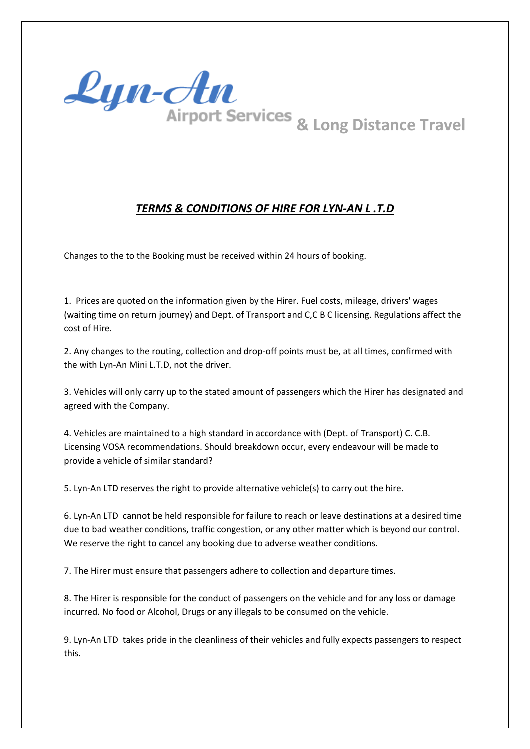

## *TERMS & CONDITIONS OF HIRE FOR LYN-AN L .T.D*

Changes to the to the Booking must be received within 24 hours of booking.

1. Prices are quoted on the information given by the Hirer. Fuel costs, mileage, drivers' wages (waiting time on return journey) and Dept. of Transport and C,C B C licensing. Regulations affect the cost of Hire.

2. Any changes to the routing, collection and drop-off points must be, at all times, confirmed with the with Lyn-An Mini L.T.D, not the driver.

3. Vehicles will only carry up to the stated amount of passengers which the Hirer has designated and agreed with the Company.

4. Vehicles are maintained to a high standard in accordance with (Dept. of Transport) C. C.B. Licensing VOSA recommendations. Should breakdown occur, every endeavour will be made to provide a vehicle of similar standard?

5. Lyn-An LTD reserves the right to provide alternative vehicle(s) to carry out the hire.

6. Lyn-An LTD cannot be held responsible for failure to reach or leave destinations at a desired time due to bad weather conditions, traffic congestion, or any other matter which is beyond our control. We reserve the right to cancel any booking due to adverse weather conditions.

7. The Hirer must ensure that passengers adhere to collection and departure times.

8. The Hirer is responsible for the conduct of passengers on the vehicle and for any loss or damage incurred. No food or Alcohol, Drugs or any illegals to be consumed on the vehicle.

9. Lyn-An LTD takes pride in the cleanliness of their vehicles and fully expects passengers to respect this.